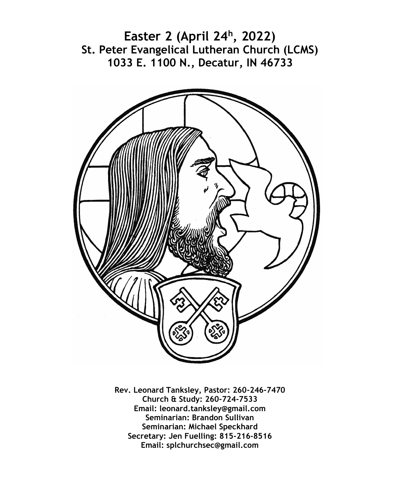**Easter 2 (April 24<sup>h</sup> , 2022) St. Peter Evangelical Lutheran Church (LCMS) 1033 E. 1100 N., Decatur, IN 46733**



**Rev. Leonard Tanksley, Pastor: 260-246-7470 Church & Study: 260-724-7533 Email: leonard.tanksley@gmail.com Seminarian: Brandon Sullivan Seminarian: Michael Speckhard Secretary: Jen Fuelling: 815-216-8516 Email: splchurchsec@gmail.com**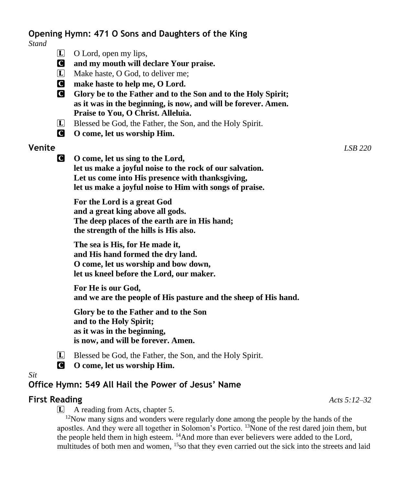# **Opening Hymn: 471 O Sons and Daughters of the King**

*Stand*

- $\Box$  O Lord, open my lips,
- C **and my mouth will declare Your praise.**
- L Make haste, O God, to deliver me;
- C **make haste to help me, O Lord.**
- C **Glory be to the Father and to the Son and to the Holy Spirit; as it was in the beginning, is now, and will be forever. Amen. Praise to You, O Christ. Alleluia.**
- L Blessed be God, the Father, the Son, and the Holy Spirit.
- C **O come, let us worship Him.**

## **Venite** *LSB 220*

C **O come, let us sing to the Lord, let us make a joyful noise to the rock of our salvation. Let us come into His presence with thanksgiving, let us make a joyful noise to Him with songs of praise.**

**For the Lord is a great God and a great king above all gods. The deep places of the earth are in His hand; the strength of the hills is His also.**

**The sea is His, for He made it, and His hand formed the dry land. O come, let us worship and bow down, let us kneel before the Lord, our maker.**

**For He is our God, and we are the people of His pasture and the sheep of His hand.**

**Glory be to the Father and to the Son and to the Holy Spirit; as it was in the beginning, is now, and will be forever. Amen.**

- L Blessed be God, the Father, the Son, and the Holy Spirit.
- C **O come, let us worship Him.**

#### *Sit*

# **Office Hymn: 549 All Hail the Power of Jesus' Name**

## **First Reading** *Acts 5:12–32*

L A reading from Acts, chapter 5.

<sup>12</sup>Now many signs and wonders were regularly done among the people by the hands of the apostles. And they were all together in Solomon's Portico. <sup>13</sup>None of the rest dared join them, but the people held them in high esteem. <sup>14</sup>And more than ever believers were added to the Lord, multitudes of both men and women, 15so that they even carried out the sick into the streets and laid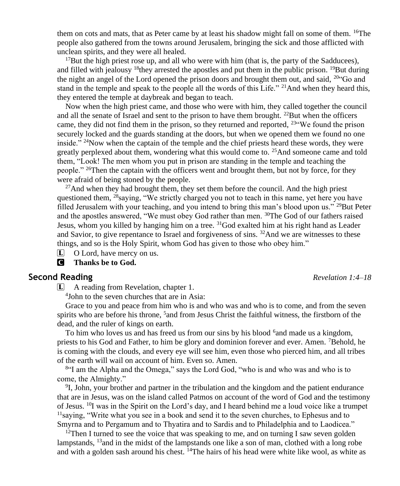them on cots and mats, that as Peter came by at least his shadow might fall on some of them.  $16$ The people also gathered from the towns around Jerusalem, bringing the sick and those afflicted with unclean spirits, and they were all healed.

 $17$ But the high priest rose up, and all who were with him (that is, the party of the Sadducees), and filled with jealousy  $18$  they arrested the apostles and put them in the public prison.  $19$  But during the night an angel of the Lord opened the prison doors and brought them out, and said,  $^{20}$  Go and stand in the temple and speak to the people all the words of this Life." <sup>21</sup>And when they heard this, they entered the temple at daybreak and began to teach.

Now when the high priest came, and those who were with him, they called together the council and all the senate of Israel and sent to the prison to have them brought. <sup>22</sup>But when the officers came, they did not find them in the prison, so they returned and reported,  $23\degree$ We found the prison securely locked and the guards standing at the doors, but when we opened them we found no one inside." <sup>24</sup>Now when the captain of the temple and the chief priests heard these words, they were greatly perplexed about them, wondering what this would come to. <sup>25</sup>And someone came and told them, "Look! The men whom you put in prison are standing in the temple and teaching the people." <sup>26</sup>Then the captain with the officers went and brought them, but not by force, for they were afraid of being stoned by the people.

 $27$ And when they had brought them, they set them before the council. And the high priest questioned them,  $^{28}$ saying, "We strictly charged you not to teach in this name, yet here you have filled Jerusalem with your teaching, and you intend to bring this man's blood upon us." <sup>29</sup>But Peter and the apostles answered, "We must obey God rather than men. <sup>30</sup>The God of our fathers raised Jesus, whom you killed by hanging him on a tree. <sup>31</sup>God exalted him at his right hand as Leader and Savior, to give repentance to Israel and forgiveness of sins.  $32$ And we are witnesses to these things, and so is the Holy Spirit, whom God has given to those who obey him."

 $\Box$  O Lord, have mercy on us.

C **Thanks be to God.**

#### **Second Reading** *Revelation 1:4–18*

L A reading from Revelation, chapter 1.

4 John to the seven churches that are in Asia:

Grace to you and peace from him who is and who was and who is to come, and from the seven spirits who are before his throne, <sup>5</sup> and from Jesus Christ the faithful witness, the firstborn of the dead, and the ruler of kings on earth.

To him who loves us and has freed us from our sins by his blood <sup>6</sup> and made us a kingdom, priests to his God and Father, to him be glory and dominion forever and ever. Amen. <sup>7</sup>Behold, he is coming with the clouds, and every eye will see him, even those who pierced him, and all tribes of the earth will wail on account of him. Even so. Amen.

8 "I am the Alpha and the Omega," says the Lord God, "who is and who was and who is to come, the Almighty."

<sup>9</sup>I, John, your brother and partner in the tribulation and the kingdom and the patient endurance that are in Jesus, was on the island called Patmos on account of the word of God and the testimony of Jesus. <sup>10</sup>I was in the Spirit on the Lord's day, and I heard behind me a loud voice like a trumpet  $<sup>11</sup>$ saying, "Write what you see in a book and send it to the seven churches, to Ephesus and to</sup> Smyrna and to Pergamum and to Thyatira and to Sardis and to Philadelphia and to Laodicea."

<sup>12</sup>Then I turned to see the voice that was speaking to me, and on turning I saw seven golden lampstands,  $13$  and in the midst of the lampstands one like a son of man, clothed with a long robe and with a golden sash around his chest.  $14$ The hairs of his head were white like wool, as white as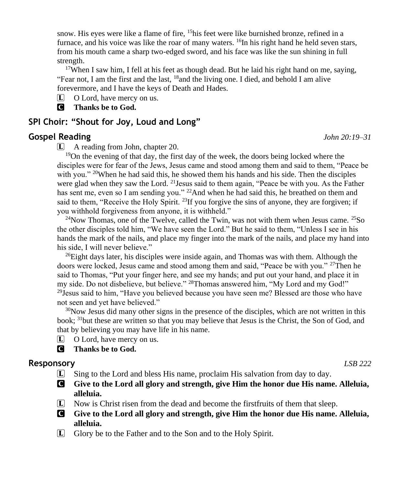snow. His eyes were like a flame of fire,  $15$ his feet were like burnished bronze, refined in a furnace, and his voice was like the roar of many waters.  $^{16}$ In his right hand he held seven stars, from his mouth came a sharp two-edged sword, and his face was like the sun shining in full strength.

<sup>17</sup>When I saw him, I fell at his feet as though dead. But he laid his right hand on me, saying, "Fear not, I am the first and the last,  $18$  and the living one. I died, and behold I am alive forevermore, and I have the keys of Death and Hades.

L O Lord, have mercy on us.

C **Thanks be to God.**

## **SPI Choir: "Shout for Joy, Loud and Long"**

## **Gospel Reading** *John 20:19–31*

L A reading from John, chapter 20.

<sup>19</sup>On the evening of that day, the first day of the week, the doors being locked where the disciples were for fear of the Jews, Jesus came and stood among them and said to them, "Peace be with you."  $20$ When he had said this, he showed them his hands and his side. Then the disciples were glad when they saw the Lord. <sup>21</sup> Jesus said to them again, "Peace be with you. As the Father has sent me, even so I am sending you."  $^{22}$ And when he had said this, he breathed on them and said to them, "Receive the Holy Spirit.  $^{23}$  If you forgive the sins of anyone, they are forgiven; if you withhold forgiveness from anyone, it is withheld."

<sup>24</sup>Now Thomas, one of the Twelve, called the Twin, was not with them when Jesus came. <sup>25</sup>So the other disciples told him, "We have seen the Lord." But he said to them, "Unless I see in his hands the mark of the nails, and place my finger into the mark of the nails, and place my hand into his side, I will never believe."

<sup>26</sup>Eight days later, his disciples were inside again, and Thomas was with them. Although the doors were locked, Jesus came and stood among them and said, "Peace be with you." <sup>27</sup>Then he said to Thomas, "Put your finger here, and see my hands; and put out your hand, and place it in my side. Do not disbelieve, but believe." <sup>28</sup>Thomas answered him, "My Lord and my God!" <sup>29</sup>Jesus said to him, "Have you believed because you have seen me? Blessed are those who have not seen and yet have believed."

 $30\text{Now}$  Jesus did many other signs in the presence of the disciples, which are not written in this book; <sup>31</sup>but these are written so that you may believe that Jesus is the Christ, the Son of God, and that by believing you may have life in his name.

- L O Lord, have mercy on us.
- C **Thanks be to God.**

## **Responsory** *LSB 222*

- $\Box$  Sing to the Lord and bless His name, proclaim His salvation from day to day.
- C **Give to the Lord all glory and strength, give Him the honor due His name. Alleluia, alleluia.**
- $\bar{L}$  Now is Christ risen from the dead and become the first fruits of them that sleep.
- C **Give to the Lord all glory and strength, give Him the honor due His name. Alleluia, alleluia.**
- L Glory be to the Father and to the Son and to the Holy Spirit.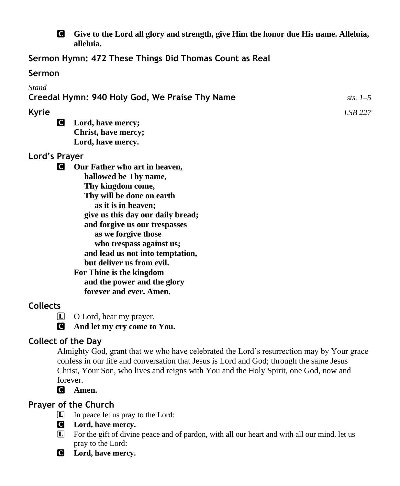

C **Give to the Lord all glory and strength, give Him the honor due His name. Alleluia, alleluia.**

**Sermon Hymn: 472 These Things Did Thomas Count as Real**

## **Sermon**

# *Stand* **Creedal Hymn: 940 Holy God, We Praise Thy Name** *sts. 1–5* **Kyrie** *LSB 227*

C **Lord, have mercy; Christ, have mercy; Lord, have mercy.**

# **Lord's Prayer**

C **Our Father who art in heaven, hallowed be Thy name, Thy kingdom come, Thy will be done on earth as it is in heaven; give us this day our daily bread; and forgive us our trespasses as we forgive those who trespass against us; and lead us not into temptation, but deliver us from evil. For Thine is the kingdom and the power and the glory forever and ever. Amen.**

# **Collects**

- L O Lord, hear my prayer.
- C **And let my cry come to You.**

# **Collect of the Day**

Almighty God, grant that we who have celebrated the Lord's resurrection may by Your grace confess in our life and conversation that Jesus is Lord and God; through the same Jesus Christ, Your Son, who lives and reigns with You and the Holy Spirit, one God, now and forever.

C **Amen.**

# **Prayer of the Church**

- $\Box$  In peace let us pray to the Lord:
- C **Lord, have mercy.**
- L For the gift of divine peace and of pardon, with all our heart and with all our mind, let us pray to the Lord:
- C **Lord, have mercy.**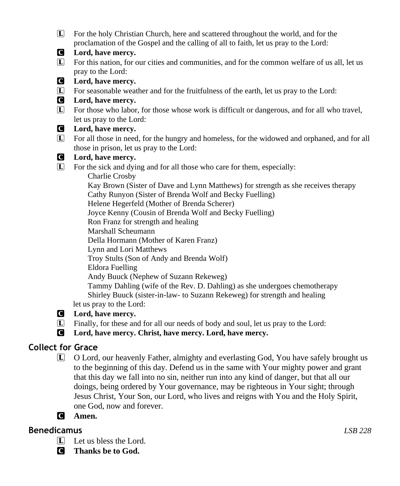L For the holy Christian Church, here and scattered throughout the world, and for the proclamation of the Gospel and the calling of all to faith, let us pray to the Lord:



#### C **Lord, have mercy.**

- L For this nation, for our cities and communities, and for the common welfare of us all, let us pray to the Lord:
- C **Lord, have mercy.**
- L For seasonable weather and for the fruitfulness of the earth, let us pray to the Lord:
- C **Lord, have mercy.**
- L For those who labor, for those whose work is difficult or dangerous, and for all who travel, let us pray to the Lord:

## C **Lord, have mercy.**

L For all those in need, for the hungry and homeless, for the widowed and orphaned, and for all those in prison, let us pray to the Lord:

## C **Lord, have mercy.**

L For the sick and dying and for all those who care for them, especially:

 Charlie Crosby Kay Brown (Sister of Dave and Lynn Matthews) for strength as she receives therapy Cathy Runyon (Sister of Brenda Wolf and Becky Fuelling) Helene Hegerfeld (Mother of Brenda Scherer) Joyce Kenny (Cousin of Brenda Wolf and Becky Fuelling) Ron Franz for strength and healing Marshall Scheumann Della Hormann (Mother of Karen Franz) Lynn and Lori Matthews Troy Stults (Son of Andy and Brenda Wolf) Eldora Fuelling Andy Buuck (Nephew of Suzann Rekeweg) Tammy Dahling (wife of the Rev. D. Dahling) as she undergoes chemotherapy

 Shirley Buuck (sister-in-law- to Suzann Rekeweg) for strength and healing let us pray to the Lord:

## C **Lord, have mercy.**

L Finally, for these and for all our needs of body and soul, let us pray to the Lord:

C **Lord, have mercy. Christ, have mercy. Lord, have mercy.**

# **Collect for Grace**

L O Lord, our heavenly Father, almighty and everlasting God, You have safely brought us to the beginning of this day. Defend us in the same with Your mighty power and grant that this day we fall into no sin, neither run into any kind of danger, but that all our doings, being ordered by Your governance, may be righteous in Your sight; through Jesus Christ, Your Son, our Lord, who lives and reigns with You and the Holy Spirit, one God, now and forever.



# **Benedicamus** *LSB 228*

- $\boxed{\mathbf{L}}$  Let us bless the Lord.
- C **Thanks be to God.**